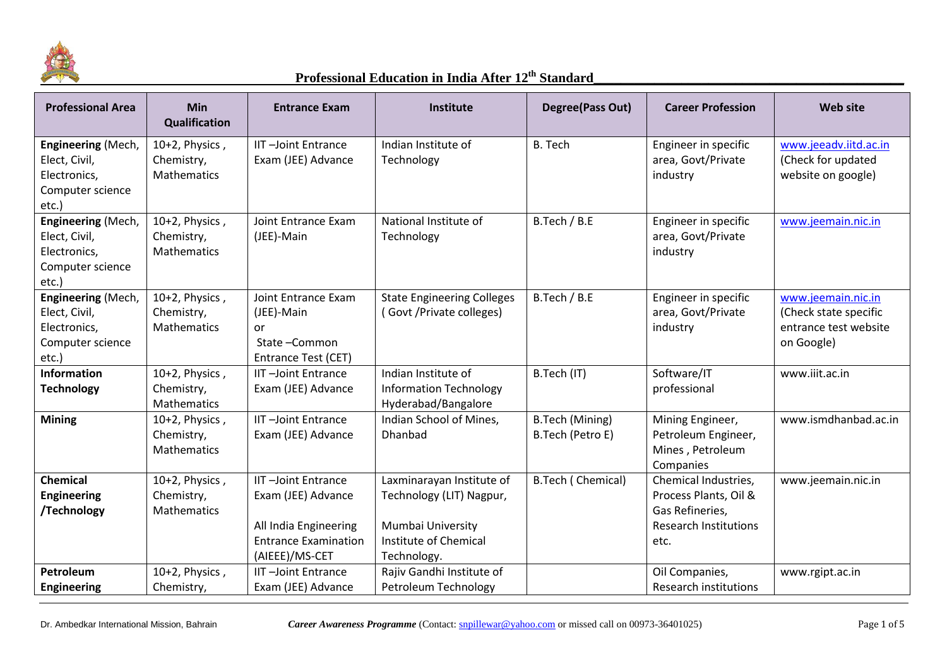

| <b>Professional Area</b>                                                                | <b>Min</b><br><b>Qualification</b>                 | <b>Entrance Exam</b>                                                                                                      | Institute                                                                                                          | Degree(Pass Out)                           | <b>Career Profession</b>                                                                                 | <b>Web site</b>                                                                    |
|-----------------------------------------------------------------------------------------|----------------------------------------------------|---------------------------------------------------------------------------------------------------------------------------|--------------------------------------------------------------------------------------------------------------------|--------------------------------------------|----------------------------------------------------------------------------------------------------------|------------------------------------------------------------------------------------|
| <b>Engineering (Mech,</b><br>Elect, Civil,<br>Electronics,<br>Computer science<br>etc.) | 10+2, Physics,<br>Chemistry,<br><b>Mathematics</b> | <b>IIT-Joint Entrance</b><br>Exam (JEE) Advance                                                                           | Indian Institute of<br>Technology                                                                                  | <b>B.</b> Tech                             | Engineer in specific<br>area, Govt/Private<br>industry                                                   | www.jeeadv.iitd.ac.in<br>(Check for updated<br>website on google)                  |
| Engineering (Mech,<br>Elect, Civil,<br>Electronics,<br>Computer science<br>etc.)        | 10+2, Physics,<br>Chemistry,<br>Mathematics        | Joint Entrance Exam<br>(JEE)-Main                                                                                         | National Institute of<br>Technology                                                                                | B.Tech / B.E                               | Engineer in specific<br>area, Govt/Private<br>industry                                                   | www.jeemain.nic.in                                                                 |
| Engineering (Mech,<br>Elect, Civil,<br>Electronics,<br>Computer science<br>etc.)        | 10+2, Physics,<br>Chemistry,<br>Mathematics        | Joint Entrance Exam<br>(JEE)-Main<br>or<br>State-Common<br>Entrance Test (CET)                                            | <b>State Engineering Colleges</b><br>(Govt/Private colleges)                                                       | B.Tech / B.E                               | Engineer in specific<br>area, Govt/Private<br>industry                                                   | www.jeemain.nic.in<br>(Check state specific<br>entrance test website<br>on Google) |
| <b>Information</b><br><b>Technology</b>                                                 | 10+2, Physics,<br>Chemistry,<br>Mathematics        | <b>IIT-Joint Entrance</b><br>Exam (JEE) Advance                                                                           | Indian Institute of<br><b>Information Technology</b><br>Hyderabad/Bangalore                                        | B.Tech (IT)                                | Software/IT<br>professional                                                                              | www.iiit.ac.in                                                                     |
| <b>Mining</b>                                                                           | 10+2, Physics,<br>Chemistry,<br><b>Mathematics</b> | <b>IIT-Joint Entrance</b><br>Exam (JEE) Advance                                                                           | Indian School of Mines,<br>Dhanbad                                                                                 | <b>B.Tech (Mining)</b><br>B.Tech (Petro E) | Mining Engineer,<br>Petroleum Engineer,<br>Mines, Petroleum<br>Companies                                 | www.ismdhanbad.ac.in                                                               |
| <b>Chemical</b><br><b>Engineering</b><br>/Technology                                    | 10+2, Physics,<br>Chemistry,<br><b>Mathematics</b> | <b>IIT-Joint Entrance</b><br>Exam (JEE) Advance<br>All India Engineering<br><b>Entrance Examination</b><br>(AIEEE)/MS-CET | Laxminarayan Institute of<br>Technology (LIT) Nagpur,<br>Mumbai University<br>Institute of Chemical<br>Technology. | <b>B.Tech (Chemical)</b>                   | Chemical Industries,<br>Process Plants, Oil &<br>Gas Refineries,<br><b>Research Institutions</b><br>etc. | www.jeemain.nic.in                                                                 |
| Petroleum<br><b>Engineering</b>                                                         | 10+2, Physics,<br>Chemistry,                       | <b>IIT-Joint Entrance</b><br>Exam (JEE) Advance                                                                           | Rajiv Gandhi Institute of<br>Petroleum Technology                                                                  |                                            | Oil Companies,<br><b>Research institutions</b>                                                           | www.rgipt.ac.in                                                                    |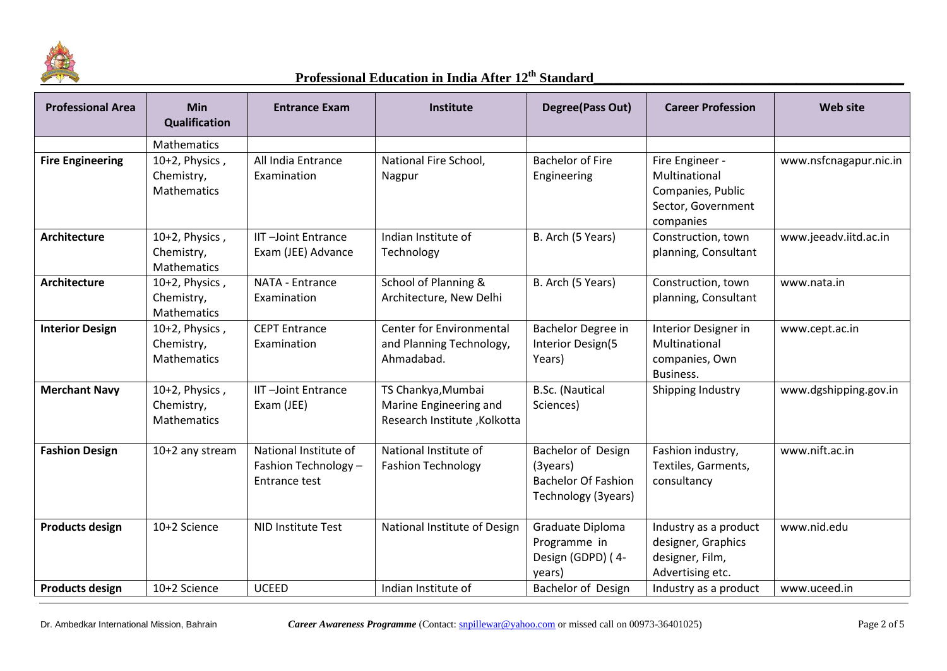

| <b>Professional Area</b> | <b>Min</b><br><b>Qualification</b>                 | <b>Entrance Exam</b>                                           | Institute                                                                    | Degree(Pass Out)                                                                          | <b>Career Profession</b>                                                                 | <b>Web site</b>        |
|--------------------------|----------------------------------------------------|----------------------------------------------------------------|------------------------------------------------------------------------------|-------------------------------------------------------------------------------------------|------------------------------------------------------------------------------------------|------------------------|
|                          | <b>Mathematics</b>                                 |                                                                |                                                                              |                                                                                           |                                                                                          |                        |
| <b>Fire Engineering</b>  | 10+2, Physics,<br>Chemistry,<br><b>Mathematics</b> | All India Entrance<br>Examination                              | National Fire School,<br>Nagpur                                              | <b>Bachelor of Fire</b><br>Engineering                                                    | Fire Engineer -<br>Multinational<br>Companies, Public<br>Sector, Government<br>companies | www.nsfcnagapur.nic.in |
| Architecture             | 10+2, Physics,<br>Chemistry,<br>Mathematics        | <b>IIT-Joint Entrance</b><br>Exam (JEE) Advance                | Indian Institute of<br>Technology                                            | B. Arch (5 Years)                                                                         | Construction, town<br>planning, Consultant                                               | www.jeeadv.iitd.ac.in  |
| Architecture             | 10+2, Physics,<br>Chemistry,<br><b>Mathematics</b> | NATA - Entrance<br>Examination                                 | School of Planning &<br>Architecture, New Delhi                              | B. Arch (5 Years)                                                                         | Construction, town<br>planning, Consultant                                               | www.nata.in            |
| <b>Interior Design</b>   | 10+2, Physics,<br>Chemistry,<br><b>Mathematics</b> | <b>CEPT Entrance</b><br>Examination                            | <b>Center for Environmental</b><br>and Planning Technology,<br>Ahmadabad.    | Bachelor Degree in<br>Interior Design(5<br>Years)                                         | Interior Designer in<br>Multinational<br>companies, Own<br>Business.                     | www.cept.ac.in         |
| <b>Merchant Navy</b>     | 10+2, Physics,<br>Chemistry,<br><b>Mathematics</b> | <b>IIT-Joint Entrance</b><br>Exam (JEE)                        | TS Chankya, Mumbai<br>Marine Engineering and<br>Research Institute, Kolkotta | <b>B.Sc.</b> (Nautical<br>Sciences)                                                       | Shipping Industry                                                                        | www.dgshipping.gov.in  |
| <b>Fashion Design</b>    | 10+2 any stream                                    | National Institute of<br>Fashion Technology -<br>Entrance test | National Institute of<br><b>Fashion Technology</b>                           | Bachelor of Design<br>$(3$ years $)$<br><b>Bachelor Of Fashion</b><br>Technology (3years) | Fashion industry,<br>Textiles, Garments,<br>consultancy                                  | www.nift.ac.in         |
| <b>Products design</b>   | 10+2 Science                                       | <b>NID Institute Test</b>                                      | National Institute of Design                                                 | Graduate Diploma<br>Programme in<br>Design (GDPD) (4-<br>years)                           | Industry as a product<br>designer, Graphics<br>designer, Film,<br>Advertising etc.       | www.nid.edu            |
| <b>Products design</b>   | 10+2 Science                                       | <b>UCEED</b>                                                   | Indian Institute of                                                          | Bachelor of Design                                                                        | Industry as a product                                                                    | www.uceed.in           |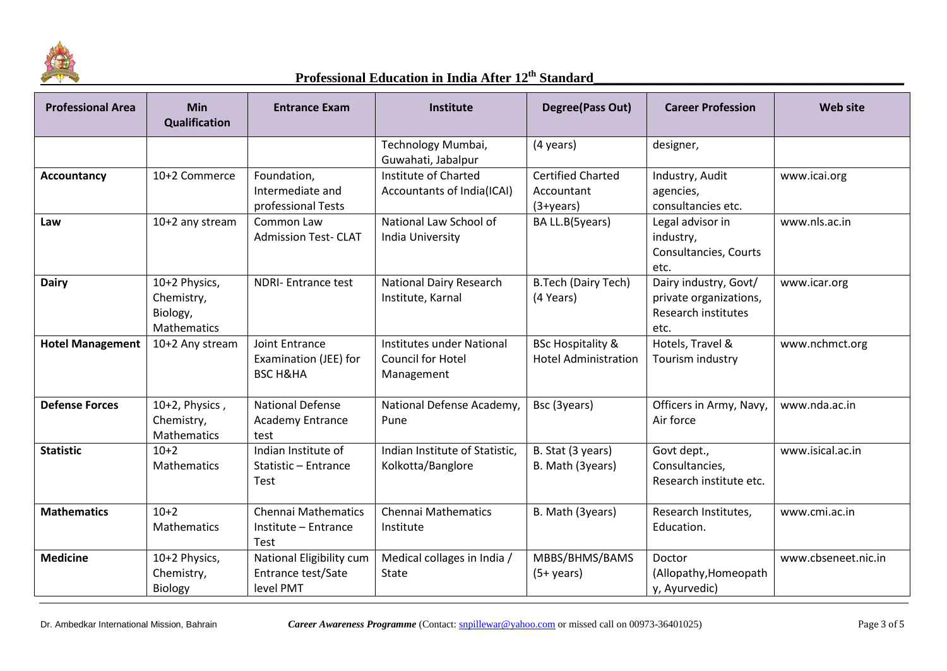

| <b>Professional Area</b> | <b>Min</b><br>Qualification                            | <b>Entrance Exam</b>                                                  | <b>Institute</b>                                                    | Degree(Pass Out)                                            | <b>Career Profession</b>                                                              | Web site            |
|--------------------------|--------------------------------------------------------|-----------------------------------------------------------------------|---------------------------------------------------------------------|-------------------------------------------------------------|---------------------------------------------------------------------------------------|---------------------|
|                          |                                                        |                                                                       | Technology Mumbai,<br>Guwahati, Jabalpur                            | (4 years)                                                   | designer,                                                                             |                     |
| Accountancy              | 10+2 Commerce                                          | Foundation,<br>Intermediate and<br>professional Tests                 | Institute of Charted<br>Accountants of India(ICAI)                  | <b>Certified Charted</b><br>Accountant<br>$(3 + years)$     | Industry, Audit<br>agencies,<br>consultancies etc.                                    | www.icai.org        |
| Law                      | 10+2 any stream                                        | Common Law<br><b>Admission Test- CLAT</b>                             | National Law School of<br><b>India University</b>                   | BA LL.B(5years)                                             | Legal advisor in<br>industry,<br>Consultancies, Courts<br>etc.                        | www.nls.ac.in       |
| <b>Dairy</b>             | 10+2 Physics,<br>Chemistry,<br>Biology,<br>Mathematics | <b>NDRI-Entrance test</b>                                             | <b>National Dairy Research</b><br>Institute, Karnal                 | <b>B.Tech (Dairy Tech)</b><br>(4 Years)                     | Dairy industry, Govt/<br>private organizations,<br><b>Research institutes</b><br>etc. | www.icar.org        |
| <b>Hotel Management</b>  | 10+2 Any stream                                        | <b>Joint Entrance</b><br>Examination (JEE) for<br><b>BSC H&amp;HA</b> | Institutes under National<br><b>Council for Hotel</b><br>Management | <b>BSc Hospitality &amp;</b><br><b>Hotel Administration</b> | Hotels, Travel &<br>Tourism industry                                                  | www.nchmct.org      |
| <b>Defense Forces</b>    | 10+2, Physics,<br>Chemistry,<br>Mathematics            | <b>National Defense</b><br><b>Academy Entrance</b><br>test            | National Defense Academy,<br>Pune                                   | Bsc (3years)                                                | Officers in Army, Navy,<br>Air force                                                  | www.nda.ac.in       |
| <b>Statistic</b>         | $10+2$<br>Mathematics                                  | Indian Institute of<br>Statistic - Entrance<br>Test                   | Indian Institute of Statistic,<br>Kolkotta/Banglore                 | B. Stat (3 years)<br>B. Math (3years)                       | Govt dept.,<br>Consultancies,<br>Research institute etc.                              | www.isical.ac.in    |
| <b>Mathematics</b>       | $10+2$<br>Mathematics                                  | <b>Chennai Mathematics</b><br>Institute - Entrance<br><b>Test</b>     | <b>Chennai Mathematics</b><br>Institute                             | B. Math (3years)                                            | Research Institutes,<br>Education.                                                    | www.cmi.ac.in       |
| <b>Medicine</b>          | 10+2 Physics,<br>Chemistry,<br>Biology                 | National Eligibility cum<br>Entrance test/Sate<br>level PMT           | Medical collages in India /<br>State                                | MBBS/BHMS/BAMS<br>$(5+ \text{years})$                       | Doctor<br>(Allopathy, Homeopath<br>y, Ayurvedic)                                      | www.cbseneet.nic.in |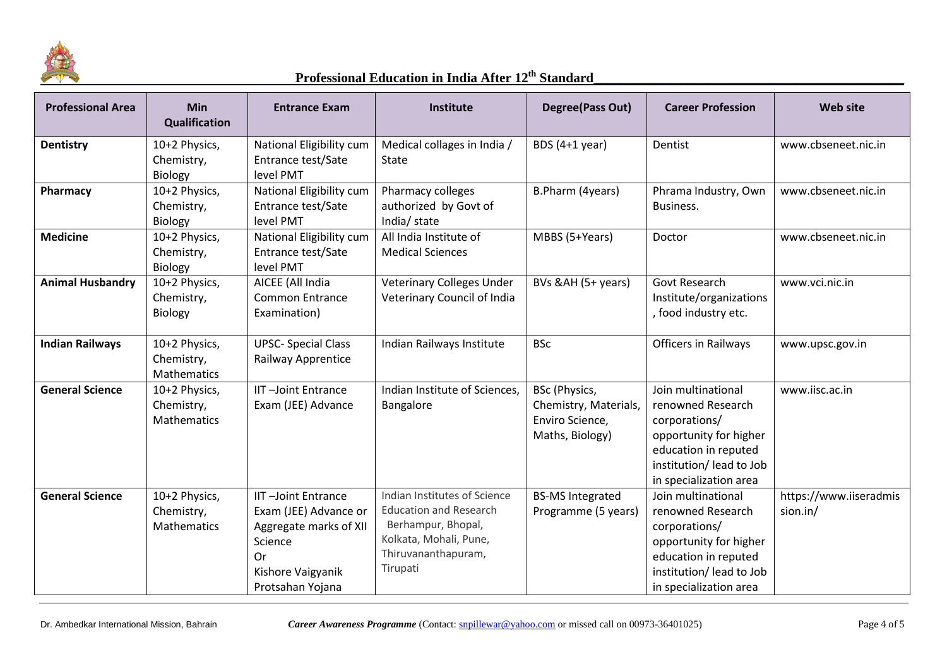

| <b>Professional Area</b> | <b>Min</b><br><b>Qualification</b>                | <b>Entrance Exam</b>                                                                                                                          | Institute                                                                                                                                        | Degree(Pass Out)                                                             | <b>Career Profession</b>                                                                                                                                         | <b>Web site</b>                    |
|--------------------------|---------------------------------------------------|-----------------------------------------------------------------------------------------------------------------------------------------------|--------------------------------------------------------------------------------------------------------------------------------------------------|------------------------------------------------------------------------------|------------------------------------------------------------------------------------------------------------------------------------------------------------------|------------------------------------|
| <b>Dentistry</b>         | 10+2 Physics,<br>Chemistry,<br>Biology            | National Eligibility cum<br>Entrance test/Sate<br>level PMT                                                                                   | Medical collages in India /<br>State                                                                                                             | BDS $(4+1$ year)                                                             | Dentist                                                                                                                                                          | www.cbseneet.nic.in                |
| Pharmacy                 | 10+2 Physics,<br>Chemistry,<br>Biology            | National Eligibility cum<br>Entrance test/Sate<br>level PMT                                                                                   | Pharmacy colleges<br>authorized by Govt of<br>India/ state                                                                                       | B.Pharm (4years)                                                             | Phrama Industry, Own<br>Business.                                                                                                                                | www.cbseneet.nic.in                |
| <b>Medicine</b>          | 10+2 Physics,<br>Chemistry,<br>Biology            | National Eligibility cum<br>Entrance test/Sate<br>level PMT                                                                                   | All India Institute of<br><b>Medical Sciences</b>                                                                                                | MBBS (5+Years)                                                               | Doctor                                                                                                                                                           | www.cbseneet.nic.in                |
| <b>Animal Husbandry</b>  | 10+2 Physics,<br>Chemistry,<br><b>Biology</b>     | AICEE (All India<br><b>Common Entrance</b><br>Examination)                                                                                    | Veterinary Colleges Under<br>Veterinary Council of India                                                                                         | BVs &AH (5+ years)                                                           | Govt Research<br>Institute/organizations<br>, food industry etc.                                                                                                 | www.vci.nic.in                     |
| <b>Indian Railways</b>   | 10+2 Physics,<br>Chemistry,<br><b>Mathematics</b> | <b>UPSC- Special Class</b><br>Railway Apprentice                                                                                              | Indian Railways Institute                                                                                                                        | <b>BSc</b>                                                                   | Officers in Railways                                                                                                                                             | www.upsc.gov.in                    |
| <b>General Science</b>   | 10+2 Physics,<br>Chemistry,<br><b>Mathematics</b> | <b>IIT-Joint Entrance</b><br>Exam (JEE) Advance                                                                                               | Indian Institute of Sciences,<br>Bangalore                                                                                                       | BSc (Physics,<br>Chemistry, Materials,<br>Enviro Science,<br>Maths, Biology) | Join multinational<br>renowned Research<br>corporations/<br>opportunity for higher<br>education in reputed<br>institution/ lead to Job<br>in specialization area | www.iisc.ac.in                     |
| <b>General Science</b>   | 10+2 Physics,<br>Chemistry,<br><b>Mathematics</b> | <b>IIT-Joint Entrance</b><br>Exam (JEE) Advance or<br>Aggregate marks of XII<br>Science<br><b>Or</b><br>Kishore Vaigyanik<br>Protsahan Yojana | Indian Institutes of Science<br><b>Education and Research</b><br>Berhampur, Bhopal,<br>Kolkata, Mohali, Pune,<br>Thiruvananthapuram,<br>Tirupati | <b>BS-MS Integrated</b><br>Programme (5 years)                               | Join multinational<br>renowned Research<br>corporations/<br>opportunity for higher<br>education in reputed<br>institution/lead to Job<br>in specialization area  | https://www.iiseradmis<br>sion.in/ |